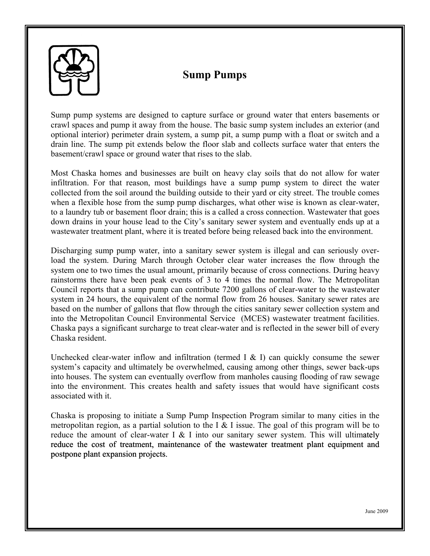

## **Sump Pumps**

Sump pump systems are designed to capture surface or ground water that enters basements or crawl spaces and pump it away from the house. The basic sump system includes an exterior (and optional interior) perimeter drain system, a sump pit, a sump pump with a float or switch and a drain line. The sump pit extends below the floor slab and collects surface water that enters the basement/crawl space or ground water that rises to the slab.

Most Chaska homes and businesses are built on heavy clay soils that do not allow for water infiltration. For that reason, most buildings have a sump pump system to direct the water collected from the soil around the building outside to their yard or city street. The trouble comes when a flexible hose from the sump pump discharges, what other wise is known as clear-water, to a laundry tub or basement floor drain; this is a called a cross connection. Wastewater that goes down drains in your house lead to the City's sanitary sewer system and eventually ends up at a wastewater treatment plant, where it is treated before being released back into the environment.

Discharging sump pump water, into a sanitary sewer system is illegal and can seriously overload the system. During March through October clear water increases the flow through the system one to two times the usual amount, primarily because of cross connections. During heavy rainstorms there have been peak events of 3 to 4 times the normal flow. The Metropolitan Council reports that a sump pump can contribute 7200 gallons of clear-water to the wastewater system in 24 hours, the equivalent of the normal flow from 26 houses. Sanitary sewer rates are based on the number of gallons that flow through the cities sanitary sewer collection system and into the Metropolitan Council Environmental Service (MCES) wastewater treatment facilities. Chaska pays a significant surcharge to treat clear-water and is reflected in the sewer bill of every Chaska resident. **EXERCT SET AND THE SET AND THE SET AND THE SET AND THE SET AND A show a space of proparity and space and particle and more than the space and particle and more than the method. The basic same purpleme in the content and** 

Unchecked clear-water inflow and infiltration (termed I  $\&$  I) can quickly consume the sewer system's capacity and ultimately be overwhelmed, causing among other things, sewer back-ups into houses. The system can eventually overflow from manholes causing flooding of raw sewage into the environment. This creates health and safety issues that would have significant costs associated with it.

Chaska is proposing to initiate a Sump Pump Inspection Program similar to many cities in the metropolitan region, as a partial solution to the I  $\&$  I issue. The goal of this program will be to reduce the amount of clear-water I  $&$  I into our sanitary sewer system. This will ultimately reduce the cost of treatment, maintenance of the wastewater treatment plant equipment and postpone plant expansion projects.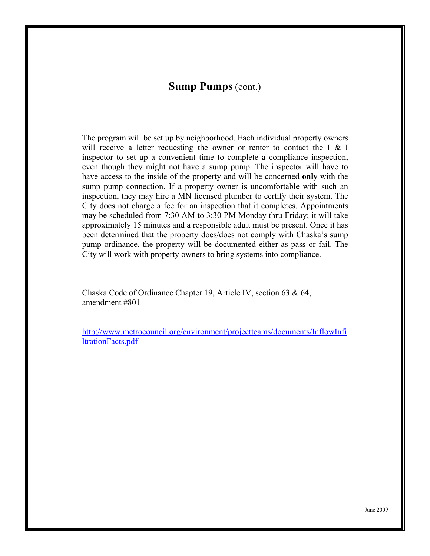## **Sump Pumps** (cont.)

The program will be set up by neighborhood. Each individual property owners will receive a letter requesting the owner or renter to contact the I & I inspector to set up a convenient time to complete a compliance inspection, even though they might not have a sump pump. The inspector will have to have access to the inside of the property and will be concerned **only** with the sump pump connection. If a property owner is uncomfortable with such an inspection, they may hire a MN licensed plumber to certify their system. The City does not charge a fee for an inspection that it completes. Appointments may be scheduled from 7:30 AM to 3:30 PM Monday thru Friday; it will take approximately 15 minutes and a responsible adult must be present. Once it has been determined that the property does/does not comply with Chaska's sump pump ordinance, the property will be documented either as pass or fail. The City will work with property owners to bring systems into compliance.

Chaska Code of Ordinance Chapter 19, Article IV, section 63 & 64, amendment #801

[http://www.metrocouncil.org/environment/projectteams/documents/InflowInfi](http://www.metrocouncil.org/environment/projectteams/documents/InflowInfiltrationFacts.pdf) [ltrationFacts.pdf](http://www.metrocouncil.org/environment/projectteams/documents/InflowInfiltrationFacts.pdf)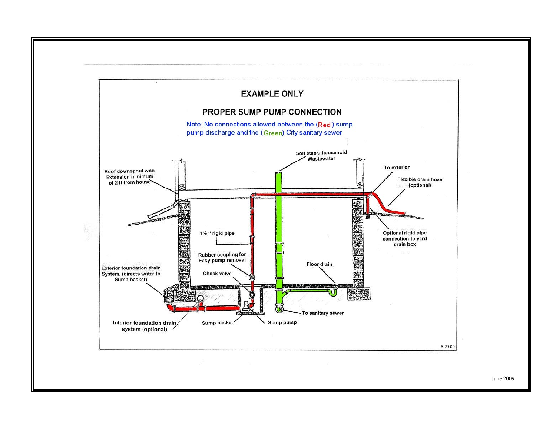